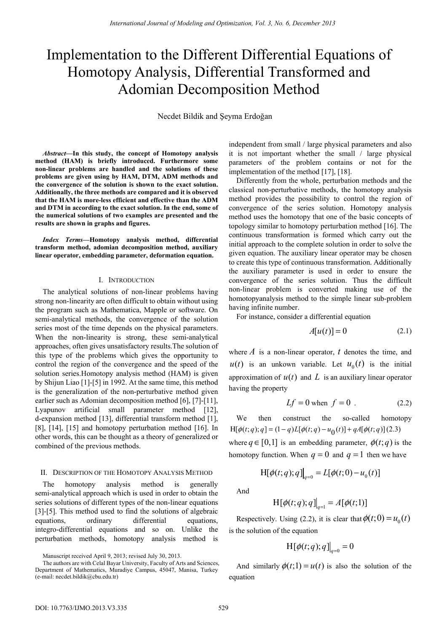# Implementation to the Different Differential Equations of Homotopy Analysis, Differential Transformed and Adomian Decomposition Method

Necdet Bildik and Şeyma Erdoğan

*Abstract***—In this study, the concept of Homotopy analysis method (HAM) is briefly introduced. Furthermore some non-linear problems are handled and the solutions of these problems are given using by HAM, DTM, ADM methods and the convergence of the solution is shown to the exact solution. Additionally, the three methods are compared and it is observed that the HAM is more-less efficient and effective than the ADM and DTM in according to the exact solution. In the end, some of the numerical solutions of two examples are presented and the results are shown in graphs and figures.** 

*Index Terms***—Homotopy analysis method, differential transform method, adomian decomposition method, auxiliary linear operator, embedding parameter, deformation equation.** 

#### I. INTRODUCTION

The analytical solutions of non-linear problems having strong non-linearity are often difficult to obtain without using the program such as Mathematica, Mapple or software. On semi-analytical methods, the convergence of the solution series most of the time depends on the physical parameters. When the non-linearity is strong, these semi-analytical approaches, often gives unsatisfactory results.The solution of this type of the problems which gives the opportunity to control the region of the convergence and the speed of the solution series.Homotopy analysis method (HAM) is given by Shijun Liao [1]-[5] in 1992. At the same time, this method is the generalization of the non-perturbative method given earlier such as Adomian decomposition method [6], [7]-[11], Lyapunov artificial small parameter method [12], d-expansion method [13], differential transform method [1], [8], [14], [15] and homotopy perturbation method [16]. In other words, this can be thought as a theory of generalized or combined of the previous methods.

### II. DESCRIPTION OF THE HOMOTOPY ANALYSIS METHOD

The homotopy analysis method is generally semi-analytical approach which is used in order to obtain the series solutions of different types of the non-linear equations [3]-[5]. This method used to find the solutions of algebraic equations, ordinary differential equations, integro-differential equations and so on. Unlike the perturbation methods, homotopy analysis method is

Manuscript received April 9, 2013; revised July 30, 2013.

The authors are with Celal Bayar University, Faculty of Arts and Sciences, Department of Mathematics, Muradiye Campus, 45047, Manisa, Turkey (e-mail: necdet.bildik@cbu.edu.tr)

independent from small / large physical parameters and also it is not important whether the small / large physical parameters of the problem contains or not for the implementation of the method [17], [18].

Differently from the whole, perturbation methods and the classical non-perturbative methods, the homotopy analysis method provides the possibility to control the region of convergence of the series solution. Homotopy analysis method uses the homotopy that one of the basic concepts of topology similar to homotopy perturbation method [16]. The continuous transformation is formed which carry out the initial approach to the complete solution in order to solve the given equation. The auxiliary linear operator may be chosen to create this type of continuous transformation. Additionally the auxiliary parameter is used in order to ensure the convergence of the series solution. Thus the difficult non-linear problem is converted making use of the homotopyanalysis method to the simple linear sub-problem having infinite number.

For instance, consider a differential equation

$$
A[u(t)] = 0 \tag{2.1}
$$

where  $\vec{A}$  is a non-linear operator,  $\vec{t}$  denotes the time, and  $u(t)$  is an unkown variable. Let  $u_0(t)$  is the initial approximation of  $u(t)$  and L is an auxiliary linear operator having the property

$$
Lf = 0 \text{ when } f = 0. \tag{2.2}
$$

We then construct the so-called homotopy  $H[\phi(t; q); q] = (1 - q)L[\phi(t; q) - u_0(t)] + qA[\phi(t; q)](2.3)$ 

where  $q \in [0,1]$  is an embedding parameter,  $\phi(t; q)$  is the homotopy function. When  $q = 0$  and  $q = 1$  then we have

$$
H[\phi(t;q);q] \big|_{q=0} = L[\phi(t;0) - u_0(t)]
$$

And

$$
H[\phi(t;q);q]\big|_{q=1} = A[\phi(t;1)]
$$

Respectively. Using (2.2), it is clear that  $\phi(t; 0) = u_0(t)$ is the solution of the equation

$$
\mathrm{H}\left[\phi(t;q);q\right]\big|_{q=0}=0
$$

And similarly  $\phi(t;1) = u(t)$  is also the solution of the equation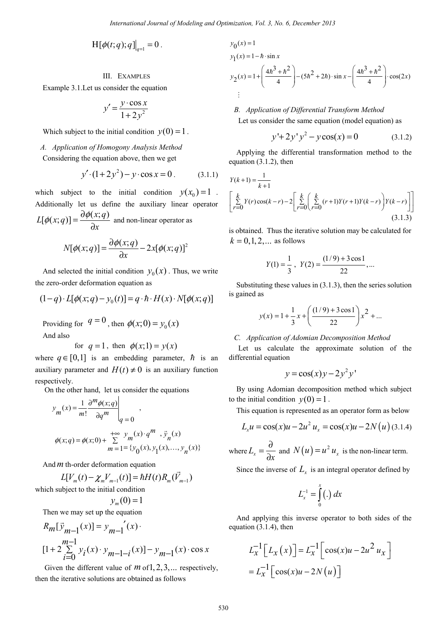$$
\mathrm{H}[\phi(t;q);q] \big|_{q=1} = 0 \, .
$$

## III. EXAMPLES

Example 3.1.Let us consider the equation

$$
y' = \frac{y \cdot \cos x}{1 + 2y^2}
$$

Which subject to the initial condition  $y(0) = 1$ .

### *A. Application of Homogony Analysis Method*

Considering the equation above, then we get

$$
y' \cdot (1 + 2y^2) - y \cdot \cos x = 0. \tag{3.1.1}
$$

which subject to the initial condition  $y(x_0)=1$ . Additionally let us define the auxiliary linear operator  $L[\phi(x; q)] = \frac{\partial \phi(x; q)}{\partial x}$  $[\phi(x; q)] = \frac{\partial \phi(x; q)}{\partial x}$  and non-linear operator as

$$
N[\phi(x;q)] = \frac{\partial \phi(x;q)}{\partial x} - 2x[\phi(x;q)]^2
$$

And selected the initial condition  $y_0(x)$ . Thus, we write the zero-order deformation equation as

$$
(1-q) \cdot L[\phi(x;q) - y_0(t)] = q \cdot \hbar \cdot H(x) \cdot N[\phi(x;q)]
$$

Providing for  $q = 0$ , then  $\phi(x;0) = y_0(x)$ And also

for 
$$
q = 1
$$
, then  $\phi(x; 1) = y(x)$ 

where  $q \in [0,1]$  is an embedding parameter,  $\hbar$  is an auxiliary parameter and  $H(t) \neq 0$  is an auxiliary function respectively.

On the other hand, let us consider the equations

$$
y_m(x) = \frac{1}{m!} \frac{\partial^m \phi(x; q)}{\partial q^m} \bigg|_{q=0}
$$
  

$$
\phi(x; q) = \phi(x; 0) + \sum_{m=1}^{+\infty} \frac{y_m(x) \cdot q^m}{\phi(x)} \cdot \overline{y}_n(x)
$$

And*m* th-order deformation equation

$$
L[V_m(t) - \chi_m V_{m-1}(t)] = \hbar H(t) R_m(\vec{V}_{m-1})
$$
  
which subject to the initial condition

$$
y_m(0) = 1
$$

Then we may set up the equation

$$
R_m[\vec{y}_{m-1}(x)] = y_{m-1}'(x)
$$
  
\n
$$
[1 + 2\sum_{i=0}^{m-1} y_i(x) \cdot y_{m-1-i}(x)] - y_{m-1}(x) \cdot \cos x
$$

Given the different value of *m* of 1, 2, 3, ... respectively, then the iterative solutions are obtained as follows

$$
y_0(x) = 1
$$
  
\n
$$
y_1(x) = 1 - \hbar \cdot \sin x
$$
  
\n
$$
y_2(x) = 1 + \left(\frac{4\hbar^3 + \hbar^2}{4}\right) - (5\hbar^2 + 2\hbar) \cdot \sin x - \left(\frac{4\hbar^3 + \hbar^2}{4}\right) \cdot \cos(2x)
$$
  
\n
$$
\vdots
$$

## *B. Application of Differential Transform Method*

Let us consider the same equation (model equation) as

$$
y' + 2y'y^{2} - y\cos(x) = 0
$$
 (3.1.2)

Applying the differential transformation method to the equation (3.1.2), then

$$
Y(k+1) = \frac{1}{k+1}
$$
  
\n
$$
\left[\sum_{r=0}^{k} Y(r)\cos(k-r) - 2\left[\sum_{r=0}^{k} \left(\sum_{r=0}^{k} (r+1)Y(r+1)Y(k-r)\right)Y(k-r)\right]\right]
$$
  
\n(3.1.3)

is obtained. Thus the iterative solution may be calculated for  $k = 0, 1, 2, ...$  as follows

$$
Y(1) = \frac{1}{3}, \ \ Y(2) = \frac{(1/9) + 3\cos 1}{22}, \dots
$$

Substituting these values in (3.1.3), then the series solution is gained as

$$
y(x) = 1 + \frac{1}{3}x + \left(\frac{(1/9) + 3\cos 1}{22}\right)x^{2} + \dots
$$

## *C. Application of Adomian Decomposition Method*

 Let us calculate the approximate solution of the differential equation

$$
y = \cos(x)y - 2y^2y'
$$

By using Adomian decomposition method which subject to the initial condition  $y(0) = 1$ .

This equation is represented as an operator form as below

$$
L_x u = \cos(x)u - 2u^2 u_x = \cos(x)u - 2N(u) (3.1.4)
$$

where  $L_x = \frac{\partial}{\partial x}$  and  $N(u) = u^2 u_x$  is the non-linear term.

Since the inverse of  $L<sub>x</sub>$  is an integral operator defined by

$$
L_x^{-1} = \int_0^x (.) dx
$$

And applying this inverse operator to both sides of the equation (3.1.4), then

$$
L_X^{-1}\left[L_X(x)\right] = L_X^{-1}\left[\cos(x)u - 2u^2 u_X\right]
$$

$$
= L_X^{-1}\left[\cos(x)u - 2N(u)\right]
$$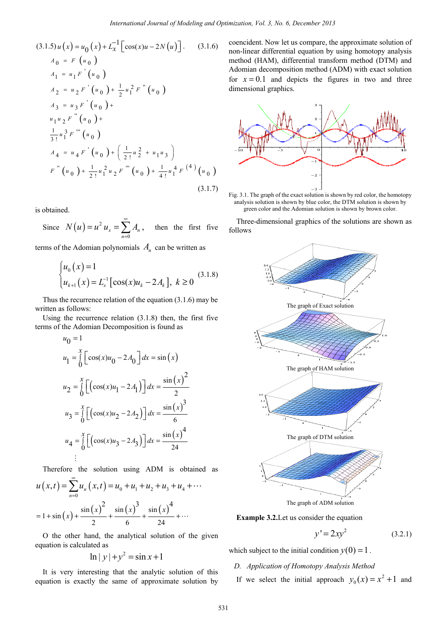$$
(3.1.5) u (x) = u_0 (x) + L_x^{-1} \Big[ cos(x)u - 2N(u) \Big]. \qquad (3.1.6)
$$
  
\n
$$
A_0 = F (u_0)
$$
  
\n
$$
A_1 = u_1 F'(u_0)
$$
  
\n
$$
A_2 = u_2 F'(u_0) + \frac{1}{2} u_1^2 F''(u_0)
$$
  
\n
$$
A_3 = u_3 F'(u_0) +
$$
  
\n
$$
u_1 u_2 F''(u_0)
$$
  
\n
$$
A_4 = u_4 F'(u_0) + (\frac{1}{2!} u_2^2 + u_1 u_3)
$$
  
\n
$$
F''(u_0) + \frac{1}{2!} u_1^2 u_2 F'''(u_0) + \frac{1}{4!} u_1^4 F^{(4)}(u_0)
$$
  
\n(3.1.7)

is obtained.

Since  $N(u) = u^2$  $\boldsymbol{0}$  $_{x}$  =  $\sum A_{n}$ *n*  $N(u) = u^2 u_x = \sum_{n=1}^{\infty} A_n$ = then the first five

terms of the Adomian polynomials  $A_n$  can be written as

$$
\begin{cases} u_0(x) = 1 \\ u_{k+1}(x) = L_x^{-1} [\cos(x) u_k - 2A_k], \ k \ge 0 \end{cases}
$$
 (3.1.8)

Thus the recurrence relation of the equation (3.1.6) may be written as follows:

Using the recurrence relation (3.1.8) then, the first five terms of the Adomian Decomposition is found as

$$
u_0 = 1
$$
  
\n
$$
u_1 = \int_0^x \left[ \cos(x)u_0 - 2A_0 \right] dx = \sin(x)
$$
  
\n
$$
u_2 = \int_0^x \left[ \left( \cos(x)u_1 - 2A_1 \right) \right] dx = \frac{\sin(x)^2}{2}
$$
  
\n
$$
u_3 = \int_0^x \left[ \left( \cos(x)u_2 - 2A_2 \right) \right] dx = \frac{\sin(x)^3}{6}
$$
  
\n
$$
u_4 = \int_0^x \left[ \left( \cos(x)u_3 - 2A_3 \right) \right] dx = \frac{\sin(x)^4}{24}
$$
  
\n
$$
\vdots
$$

Therefore the solution using ADM is obtained as

$$
u(x,t) = \sum_{n=0}^{\infty} u_n(x,t) = u_0 + u_1 + u_2 + u_3 + u_4 + \cdots
$$
  
= 1 + sin(x) +  $\frac{\sin(x)^2}{2}$  +  $\frac{\sin(x)^3}{6}$  +  $\frac{\sin(x)^4}{24}$  + ...

O the other hand, the analytical solution of the given equation is calculated as

$$
\ln|y| + y^2 = \sin x + 1
$$

It is very interesting that the analytic solution of this equation is exactly the same of approximate solution by

coencident. Now let us compare, the approximate solution of non-linear differential equation by using homotopy analysis method (HAM), differential transform method (DTM) and Adomian decomposition method (ADM) with exact solution for  $x = 0.1$  and depicts the figures in two and three dimensional graphics.



Fig. 3.1. The graph of the exact solution is shown by red color, the homotopy analysis solution is shown by blue color, the DTM solution is shown by green color and the Adomian solution is shown by brown color.

Three-dimensional graphics of the solutions are shown as follows



**Example 3.2.**Let us consider the equation

$$
y' = 2xy^2 \tag{3.2.1}
$$

which subject to the initial condition  $y(0) = 1$ .

- *D. Application of Homotopy Analysis Method*
- If we select the initial approach  $y_0(x) = x^2 + 1$  and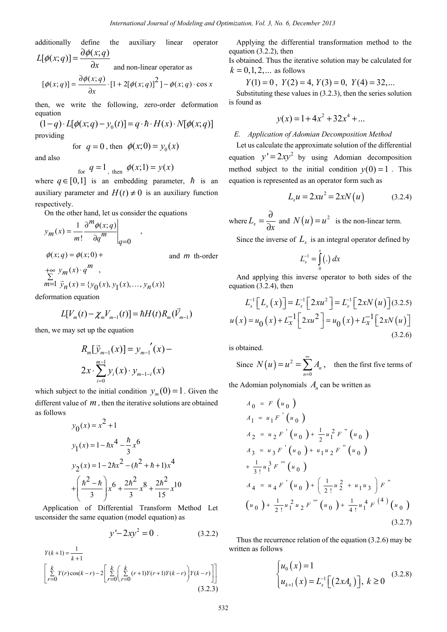additionally define the auxiliary linear operator  

$$
L[\phi(x; q)] = \frac{\partial \phi(x; q)}{\partial x}
$$

 $\partial x$ 

and non-linear operator as

$$
[\phi(x;q)] = \frac{\partial \phi(x;q)}{\partial x} \cdot [1 + 2[\phi(x;q)]^2] - \phi(x;q) \cdot \cos x
$$

then, we write the following, zero-order deformation equation

$$
(1-q) \cdot L[\phi(x;q) - y_0(t)] = q \cdot \hbar \cdot H(x) \cdot N[\phi(x;q)]
$$
  
providing

 $p$ 

for 
$$
q = 0
$$
, then  $\phi(x; 0) = y_0(x)$ 

and also

for  $q = 1$ , then  $\phi(x; 1) = y(x)$ 

where  $q \in [0,1]$  is an embedding parameter,  $\hbar$  is an auxiliary parameter and  $H(t) \neq 0$  is an auxiliary function respectively.

On the other hand, let us consider the equations

$$
y_m(x) = \frac{1}{m!} \frac{\partial^m \phi(x; q)}{\partial q^m} \Big|_{q=0} ,
$$
  

$$
\phi(x; q) = \phi(x; 0) +
$$
 and *m* th-order  

$$
\sum_{m=1}^{+\infty} y_m(x) \cdot q^m ,
$$
  

$$
y_m(x) = \{y_0(x), y_1(x), \dots, y_n(x)\}
$$

deformation equation

$$
L[V_m(t) - \chi_m V_{m-1}(t)] = \hbar H(t) R_m(\vec{V}_{m-1})
$$

then, we may set up the equation

$$
R_m[\vec{y}_{m-1}(x)] = y_{m-1}'(x) - 2x \cdot \sum_{i=0}^{m-1} y_i(x) \cdot y_{m-1-i}(x)
$$

which subject to the initial condition  $y_m(0) = 1$ . Given the different value of *m* , then the iterative solutions are obtained as follows

$$
y_0(x) = x^2 + 1
$$
  
\n
$$
y_1(x) = 1 - \hbar x^4 - \frac{\hbar}{3}x^6
$$
  
\n
$$
y_2(x) = 1 - 2\hbar x^2 - (\hbar^2 + \hbar + 1)x^4
$$
  
\n
$$
+ \left(\frac{\hbar^2 - \hbar}{3}\right)x^6 + \frac{2\hbar^2}{3}x^8 + \frac{2\hbar^2}{15}x^{10}
$$

Application of Differential Transform Method Let usconsider the same equation (model equation) as

$$
y' - 2xy^2 = 0
$$
 (3.2.2)

$$
Y(k+1) = \frac{1}{k+1}
$$
  
\n
$$
\left[ \sum_{r=0}^{k} Y(r) \cos(k-r) - 2 \left[ \sum_{r=0}^{k} \left( \sum_{r=0}^{k} (r+1)Y(r+1)Y(k-r) \right) Y(k-r) \right] \right]
$$
  
\n(3.2.3)

Applying the differential transformation method to the equation (3.2.2), then

Is obtained. Thus the iterative solution may be calculated for  $k = 0, 1, 2, ...$  as follows

$$
Y(1) = 0
$$
,  $Y(2) = 4$ ,  $Y(3) = 0$ ,  $Y(4) = 32$ ,...

Substituting these values in (3.2.3), then the series solution is found as

$$
y(x) = 1 + 4x^2 + 32x^4 + \dots
$$

#### *E. Application of Adomian Decomposition Method*

Let us calculate the approximate solution of the differential equation  $y' = 2xy^2$  by using Adomian decomposition method subject to the initial condition  $y(0) = 1$ . This equation is represented as an operator form such as

$$
L_x u = 2x u^2 = 2x N(u)
$$
 (3.2.4)

where 
$$
L_x = \frac{\partial}{\partial x}
$$
 and  $N(u) = u^2$  is the non-linear term.

Since the inverse of  $L<sub>x</sub>$  is an integral operator defined by

$$
L_x^{-1} = \int_0^x (.) dx
$$

And applying this inverse operator to both sides of the equation (3.2.4), then

$$
L_{x}^{-1}[L_{x}(x)] = L_{x}^{-1}[2x u^{2}] = L_{x}^{-1}[2x N(u)](3.2.5)
$$
  

$$
u(x) = u_{0}(x) + L_{x}^{-1}[2x u^{2}] = u_{0}(x) + L_{x}^{-1}[2x N(u)]
$$
  
(3.2.6)

is obtained.

Since 
$$
N(u) = u^2 = \sum_{n=0}^{\infty} A_n
$$
, then the first five terms of

the Adomian polynomials  $A_n$  can be written as

$$
A_0 = F(u_0)
$$
  
\n
$$
A_1 = u_1 F'(u_0)
$$
  
\n
$$
A_2 = u_2 F'(u_0) + \frac{1}{2} u_1^2 F''(u_0)
$$
  
\n
$$
A_3 = u_3 F'(u_0) + u_1 u_2 F''(u_0)
$$
  
\n
$$
+ \frac{1}{3!} u_1^3 F'''(u_0)
$$
  
\n
$$
A_4 = u_4 F'(u_0) + (\frac{1}{2!} u_2^2 + u_1 u_3) F''
$$
  
\n
$$
(u_0) + \frac{1}{2!} u_1^2 u_2 F'''(u_0) + \frac{1}{4!} u_1^4 F^{(4)}(u_0)
$$
  
\n(3.2.7)

Thus the recurrence relation of the equation (3.2.6) may be written as follows

$$
\begin{cases} u_0(x) = 1 \\ u_{k+1}(x) = L_x^{-1} \big[ (2xA_k) \big], \ k \ge 0 \end{cases}
$$
 (3.2.8)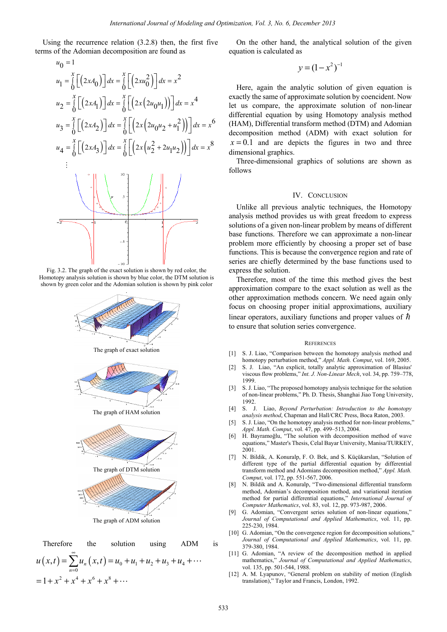Using the recurrence relation (3.2.8) then, the first five terms of the Adomian decomposition are found as

$$
u_0 = 1
$$
  
\n
$$
u_1 = \int_0^x \left[ (2xA_0) \right] dx = \int_0^x \left[ \left( 2xu_0^2 \right) \right] dx = x^2
$$
  
\n
$$
u_2 = \int_0^x \left[ (2xA_1) \right] dx = \int_0^x \left[ \left( 2x (2u_0u_1) \right) \right] dx = x^4
$$
  
\n
$$
u_3 = \int_0^x \left[ (2xA_2) \right] dx = \int_0^x \left[ \left( 2x (2u_0u_2 + u_1^2) \right) \right] dx = x^6
$$
  
\n
$$
u_4 = \int_0^x \left[ (2xA_3) \right] dx = \int_0^x \left[ \left( 2x (u_2^2 + 2u_1u_2) \right) \right] dx = x^8
$$
  
\n
$$
\vdots
$$

Fig. 3.2. The graph of the exact solution is shown by red color, the Homotopy analysis solution is shown by blue color, the DTM solution is shown by green color and the Adomian solution is shown by pink color



The graph of ADM solution

Therefore the solution using ADM is  $(x,t) = \sum u_n(x,t) = u_0 + u_1 + u_2 + u_3 + u_4$  $\boldsymbol{0}$  $(t) = \sum u_n(x)$ *n*  $u(x,t) = \sum_{n=0}^{\infty} u_n(x,t) = u_0 + u_1 + u_2 + u_3 + u_4$  $=\sum_{n=0} u_n(x,t) = u_0 + u_1 + u_2 + u_3 + u_4 + \cdots$  $= 1 + x^2 + x^4 + x^6 + x^8 + \cdots$ 

On the other hand, the analytical solution of the given equation is calculated as

$$
y=(1-x^2)^{-1}
$$

Here, again the analytic solution of given equation is exactly the same of approximate solution by coencident. Now let us compare, the approximate solution of non-linear differential equation by using Homotopy analysis method (HAM), Differential transform method (DTM) and Adomian decomposition method (ADM) with exact solution for  $x = 0.1$  and are depicts the figures in two and three dimensional graphics.

Three-dimensional graphics of solutions are shown as follows

#### IV. CONCLUSION

Unlike all previous analytic techniques, the Homotopy analysis method provides us with great freedom to express solutions of a given non-linear problem by means of different base functions. Therefore we can approximate a non-linear problem more efficiently by choosing a proper set of base functions. This is because the convergence region and rate of series are chiefly determined by the base functions used to express the solution.

Therefore, most of the time this method gives the best approximation compare to the exact solution as well as the other approximation methods concern. We need again only focus on choosing proper initial approximations, auxiliary linear operators, auxiliary functions and proper values of  $\hbar$ to ensure that solution series convergence.

#### **REFERENCES**

- [1] S. J. Liao, "Comparison between the homotopy analysis method and homotopy perturbation method," *Appl. Math. Comput*, vol. 169, 2005.
- [2] S. J. Liao, "An explicit, totally analytic approximation of Blasius' viscous flow problems," *Int. J. Non-Linear Mech*, vol. 34, pp. 759–778, 1999.
- [3] S. J. Liao, "The proposed homotopy analysis technique for the solution of non-linear problems," Ph. D. Thesis, Shanghai Jiao Tong University, 1992.
- [4] S. J. Liao, *Beyond Perturbation: Introduction to the homotopy analysis method*, Chapman and Hall/CRC Press, Boca Raton, 2003.
- [5] S. J. Liao, "On the homotopy analysis method for non-linear problems," *Appl. Math. Comput*, vol. 47, pp. 499–513, 2004.
- [6] H. Bayramoğlu, "The solution with decomposition method of wave equations," Master's Thesis, Celal Bayar University, Manisa/TURKEY, 2001.
- [7] N. Bildik, A. Konuralp, F. O. Bek, and S. Küçükarslan, "Solution of different type of the partial differential equation by differential transform method and Adomians decomposition method," *Appl. Math. Comput*, vol. 172, pp. 551-567, 2006.
- [8] N. Bildik and A. Konuralp, "Two-dimensional differential transform method, Adomian's decomposition method, and variational iteration method for partial differential equations," *International Journal of Computer Mathematics*, vol. 83, vol. 12, pp. 973-987, 2006.
- G. Adomian, "Convergent series solution of non-linear equations," *Journal of Computational and Applied Mathematics*, vol. 11, pp. 225-230, 1984.
- [10] G. Adomian, "On the convergence region for decomposition solutions," *Journal of Computational and Applied Mathematics*, vol. 11, pp. 379-380, 1984.
- [11] G. Adomian, "A review of the decomposition method in applied mathematics," *Journal of Computational and Applied Mathematics*, vol. 135, pp. 501-544, 1988.
- [12] A. M. Lyapunov, "General problem on stability of motion (English translation)," Taylor and Francis, London, 1992.